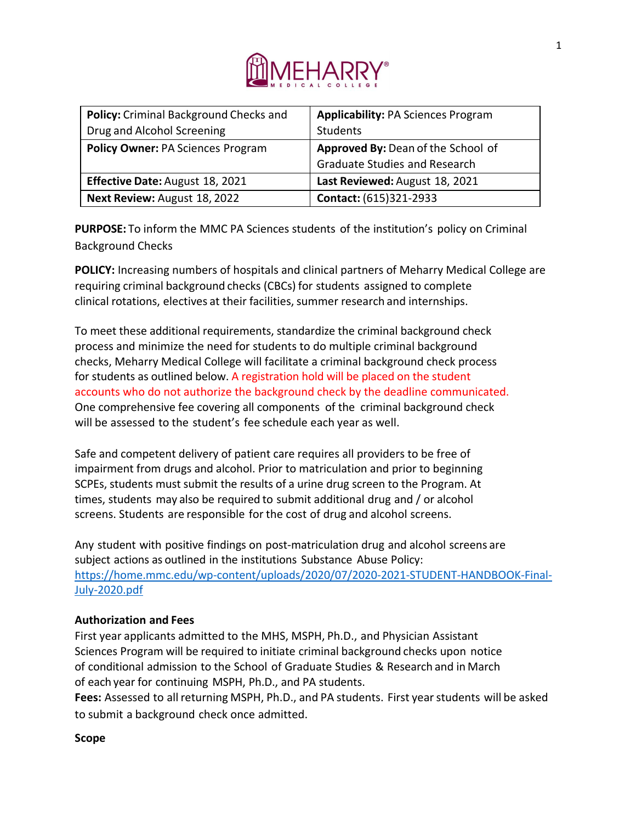

| Policy: Criminal Background Checks and   | <b>Applicability: PA Sciences Program</b> |
|------------------------------------------|-------------------------------------------|
| Drug and Alcohol Screening               | Students                                  |
| <b>Policy Owner: PA Sciences Program</b> | Approved By: Dean of the School of        |
|                                          | <b>Graduate Studies and Research</b>      |
| Effective Date: August 18, 2021          | Last Reviewed: August 18, 2021            |
| Next Review: August 18, 2022             | Contact: (615)321-2933                    |

**PURPOSE:** To inform the MMC PA Sciences students of the institution's policy on Criminal Background Checks

**POLICY:** Increasing numbers of hospitals and clinical partners of Meharry Medical College are requiring criminal background checks (CBCs) for students assigned to complete clinical rotations, electives at their facilities, summer research and internships.

To meet these additional requirements, standardize the criminal background check process and minimize the need for students to do multiple criminal background checks, Meharry Medical College will facilitate a criminal background check process for students as outlined below. A registration hold will be placed on the student accounts who do not authorize the background check by the deadline communicated. One comprehensive fee covering all components of the criminal background check will be assessed to the student's fee schedule each year as well.

Safe and competent delivery of patient care requires all providers to be free of impairment from drugs and alcohol. Prior to matriculation and prior to beginning SCPEs, students must submit the results of a urine drug screen to the Program. At times, students may also be required to submit additional drug and / or alcohol screens. Students are responsible for the cost of drug and alcohol screens.

Any student with positive findings on post-matriculation drug and alcohol screens are subject actions as outlined in the institutions Substance Abuse Policy: [https://home.mmc.edu/wp-content/uploads/2020/07/2020-2021-STUDENT-HANDBOOK-Final-](https://home.mmc.edu/wp-content/uploads/2020/07/2020-2021-STUDENT-HANDBOOK-Final-July-2020.pdf)[July-2020.pdf](https://home.mmc.edu/wp-content/uploads/2020/07/2020-2021-STUDENT-HANDBOOK-Final-July-2020.pdf)

# **Authorization and Fees**

First year applicants admitted to the MHS, MSPH, Ph.D., and Physician Assistant Sciences Program will be required to initiate criminal background checks upon notice of conditional admission to the School of Graduate Studies & Research and in March of each year for continuing MSPH, Ph.D., and PA students.

**Fees:** Assessed to all returning MSPH, Ph.D., and PA students. First year students will be asked to submit a background check once admitted.

# **Scope**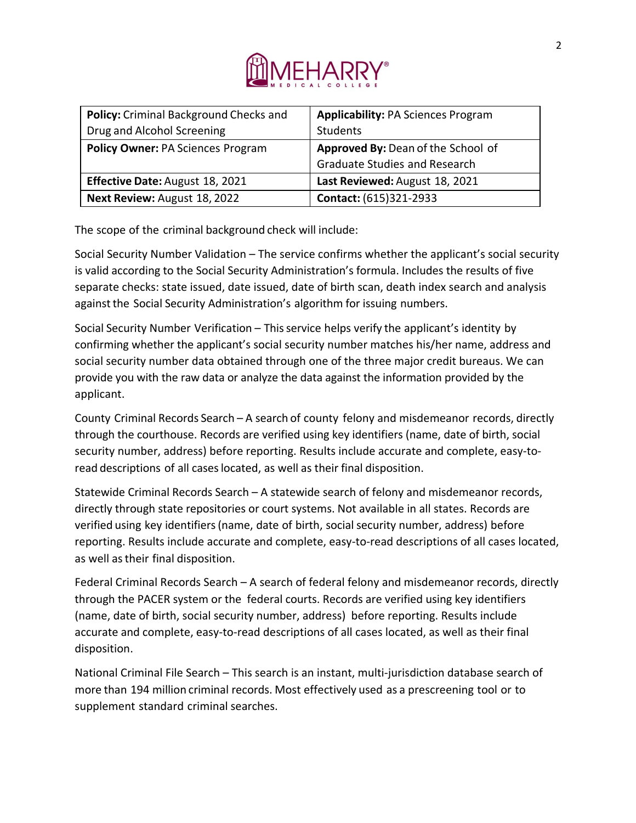

| Policy: Criminal Background Checks and   | <b>Applicability: PA Sciences Program</b> |
|------------------------------------------|-------------------------------------------|
| Drug and Alcohol Screening               | Students                                  |
| <b>Policy Owner: PA Sciences Program</b> | Approved By: Dean of the School of        |
|                                          | <b>Graduate Studies and Research</b>      |
| Effective Date: August 18, 2021          | Last Reviewed: August 18, 2021            |
| Next Review: August 18, 2022             | Contact: (615)321-2933                    |

The scope of the criminal background check will include:

Social Security Number Validation – The service confirms whether the applicant's social security is valid according to the Social Security Administration's formula. Includes the results of five separate checks: state issued, date issued, date of birth scan, death index search and analysis against the Social Security Administration's algorithm for issuing numbers.

Social Security Number Verification – This service helps verify the applicant's identity by confirming whether the applicant's social security number matches his/her name, address and social security number data obtained through one of the three major credit bureaus. We can provide you with the raw data or analyze the data against the information provided by the applicant.

County Criminal Records Search – A search of county felony and misdemeanor records, directly through the courthouse. Records are verified using key identifiers (name, date of birth, social security number, address) before reporting. Results include accurate and complete, easy-toread descriptions of all caseslocated, as well as their final disposition.

Statewide Criminal Records Search – A statewide search of felony and misdemeanor records, directly through state repositories or court systems. Not available in all states. Records are verified using key identifiers(name, date of birth, social security number, address) before reporting. Results include accurate and complete, easy-to-read descriptions of all cases located, as well as their final disposition.

Federal Criminal Records Search – A search of federal felony and misdemeanor records, directly through the PACER system or the federal courts. Records are verified using key identifiers (name, date of birth, social security number, address) before reporting. Results include accurate and complete, easy-to-read descriptions of all cases located, as well as their final disposition.

National Criminal File Search – This search is an instant, multi-jurisdiction database search of more than 194 million criminal records. Most effectively used as a prescreening tool or to supplement standard criminal searches.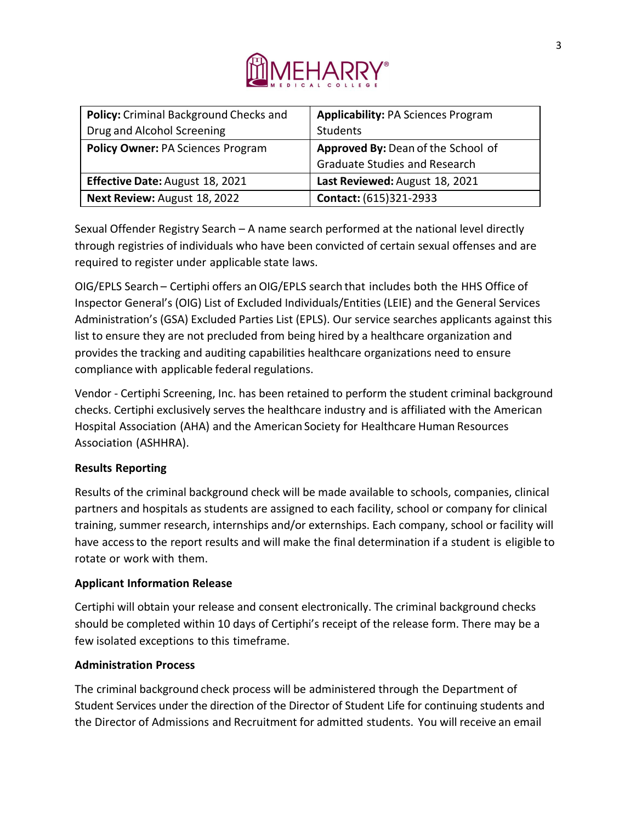

| <b>Policy:</b> Criminal Background Checks and | <b>Applicability: PA Sciences Program</b> |
|-----------------------------------------------|-------------------------------------------|
| Drug and Alcohol Screening                    | Students                                  |
| <b>Policy Owner: PA Sciences Program</b>      | Approved By: Dean of the School of        |
|                                               | <b>Graduate Studies and Research</b>      |
| Effective Date: August 18, 2021               | Last Reviewed: August 18, 2021            |
| Next Review: August 18, 2022                  | Contact: (615)321-2933                    |

Sexual Offender Registry Search – A name search performed at the national level directly through registries of individuals who have been convicted of certain sexual offenses and are required to register under applicable state laws.

OIG/EPLS Search – Certiphi offers an OIG/EPLS search that includes both the HHS Office of Inspector General's (OIG) List of Excluded Individuals/Entities (LEIE) and the General Services Administration's (GSA) Excluded Parties List (EPLS). Our service searches applicants against this list to ensure they are not precluded from being hired by a healthcare organization and provides the tracking and auditing capabilities healthcare organizations need to ensure compliance with applicable federal regulations.

Vendor - Certiphi Screening, Inc. has been retained to perform the student criminal background checks. Certiphi exclusively serves the healthcare industry and is affiliated with the American Hospital Association (AHA) and the American Society for Healthcare Human Resources Association (ASHHRA).

# **Results Reporting**

Results of the criminal background check will be made available to schools, companies, clinical partners and hospitals as students are assigned to each facility, school or company for clinical training, summer research, internships and/or externships. Each company, school or facility will have accessto the report results and will make the final determination if a student is eligible to rotate or work with them.

# **Applicant Information Release**

Certiphi will obtain your release and consent electronically. The criminal background checks should be completed within 10 days of Certiphi's receipt of the release form. There may be a few isolated exceptions to this timeframe.

# **Administration Process**

The criminal background check process will be administered through the Department of Student Services under the direction of the Director of Student Life for continuing students and the Director of Admissions and Recruitment for admitted students. You will receive an email